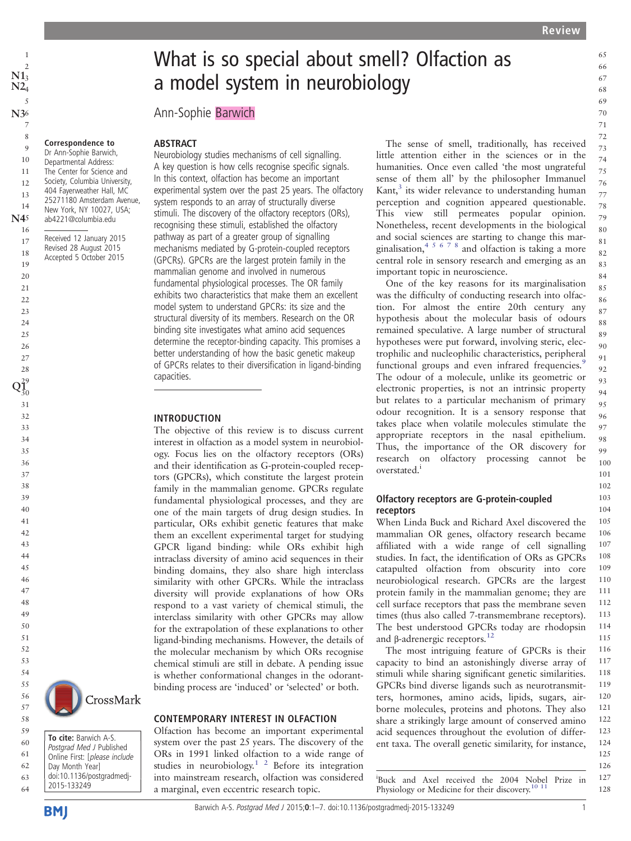65

N36

## 7

 $Q_1^{29}$ 

 $\mathbf{N1}_3$  $2\overline{2}$ 

<span id="page-0-0"></span>1  $\overline{\phantom{a}}$ 

5

Correspondence to Dr Ann-Sophie Barwich, Departmental Address: The Center for Science and Society, Columbia University, 404 Fayerweather Hall, MC 25271180 Amsterdam Avenue, New York, NY 10027, USA; ab4221@columbia.edu 8 9 10 11 12 13 14 N45

Received 12 January 2015 16 17 18

Revised 28 August 2015 Accepted 5 October 2015

# Ann-Sophie Barwich ABSTRACT

Neurobiology studies mechanisms of cell signalling. A key question is how cells recognise specific signals. In this context, olfaction has become an important experimental system over the past 25 years. The olfactory system responds to an array of structurally diverse stimuli. The discovery of the olfactory receptors (ORs), recognising these stimuli, established the olfactory pathway as part of a greater group of signalling mechanisms mediated by G-protein-coupled receptors (GPCRs). GPCRs are the largest protein family in the mammalian genome and involved in numerous fundamental physiological processes. The OR family exhibits two characteristics that make them an excellent model system to understand GPCRs: its size and the structural diversity of its members. Research on the OR binding site investigates what amino acid sequences determine the receptor-binding capacity. This promises a better understanding of how the basic genetic makeup of GPCRs relates to their diversification in ligand-binding capacities.

What is so special about smell? Olfaction as

a model system in neurobiology

### INTRODUCTION

The objective of this review is to discuss current interest in olfaction as a model system in neurobiology. Focus lies on the olfactory receptors (ORs) and their identification as G-protein-coupled receptors (GPCRs), which constitute the largest protein family in the mammalian genome. GPCRs regulate fundamental physiological processes, and they are one of the main targets of drug design studies. In particular, ORs exhibit genetic features that make them an excellent experimental target for studying GPCR ligand binding: while ORs exhibit high intraclass diversity of amino acid sequences in their binding domains, they also share high interclass similarity with other GPCRs. While the intraclass diversity will provide explanations of how ORs respond to a vast variety of chemical stimuli, the interclass similarity with other GPCRs may allow for the extrapolation of these explanations to other ligand-binding mechanisms. However, the details of the molecular mechanism by which ORs recognise chemical stimuli are still in debate. A pending issue is whether conformational changes in the odorantbinding process are 'induced' or 'selected' or both.



To cite: Barwich A-S. Postgrad Med J Published Online First: [please include Day Month Year] doi:10.1136/postgradmedj-2015-133249

### CONTEMPORARY INTEREST IN OLFACTION

Olfaction has become an important experimental system over the past 25 years. The discovery of the ORs in 1991 linked olfaction to a wide range of studies in neurobiology.<sup>[1 2](#page-5-0)</sup> Before its integration into mainstream research, olfaction was considered a marginal, even eccentric research topic.

The sense of smell, traditionally, has received little attention either in the sciences or in the humanities. Once even called 'the most ungrateful sense of them all' by the philosopher Immanuel Kant, $3$  its wider relevance to understanding human perception and cognition appeared questionable. This view still permeates popular opinion. Nonetheless, recent developments in the biological and social sciences are starting to change this marginalisation,  $45678$  and olfaction is taking a more central role in sensory research and emerging as an important topic in neuroscience. 75 76 77 78 79 80 81 82 83 84

One of the key reasons for its marginalisation was the difficulty of conducting research into olfaction. For almost the entire 20th century any hypothesis about the molecular basis of odours remained speculative. A large number of structural hypotheses were put forward, involving steric, electrophilic and nucleophilic characteristics, peripheral functional groups and even infrared frequencies.<sup>[9](#page-5-0)</sup> The odour of a molecule, unlike its geometric or electronic properties, is not an intrinsic property but relates to a particular mechanism of primary odour recognition. It is a sensory response that takes place when volatile molecules stimulate the appropriate receptors in the nasal epithelium. Thus, the importance of the OR discovery for research on olfactory processing cannot be overstated.<sup>1</sup> 85 86 87 88 89 90 91 92 93 94 95 96 **97** 98 99 100 101

### Olfactory receptors are G-protein-coupled receptors

When Linda Buck and Richard Axel discovered the mammalian OR genes, olfactory research became affiliated with a wide range of cell signalling studies. In fact, the identification of ORs as GPCRs catapulted olfaction from obscurity into core neurobiological research. GPCRs are the largest protein family in the mammalian genome; they are cell surface receptors that pass the membrane seven times (thus also called 7-transmembrane receptors). The best understood GPCRs today are rhodopsin and β-adrenergic receptors.<sup>[12](#page-5-0)</sup> 105 106 107 108 109 110 111 112 113 114 115

The most intriguing feature of GPCRs is their capacity to bind an astonishingly diverse array of stimuli while sharing significant genetic similarities. GPCRs bind diverse ligands such as neurotransmitters, hormones, amino acids, lipids, sugars, airborne molecules, proteins and photons. They also share a strikingly large amount of conserved amino acid sequences throughout the evolution of different taxa. The overall genetic similarity, for instance, 116 117 118 119 120 121 122 123

i Buck and Axel received the 2004 Nobel Prize in Physiology or Medicine for their discovery.<sup>10 11</sup>

102 103 104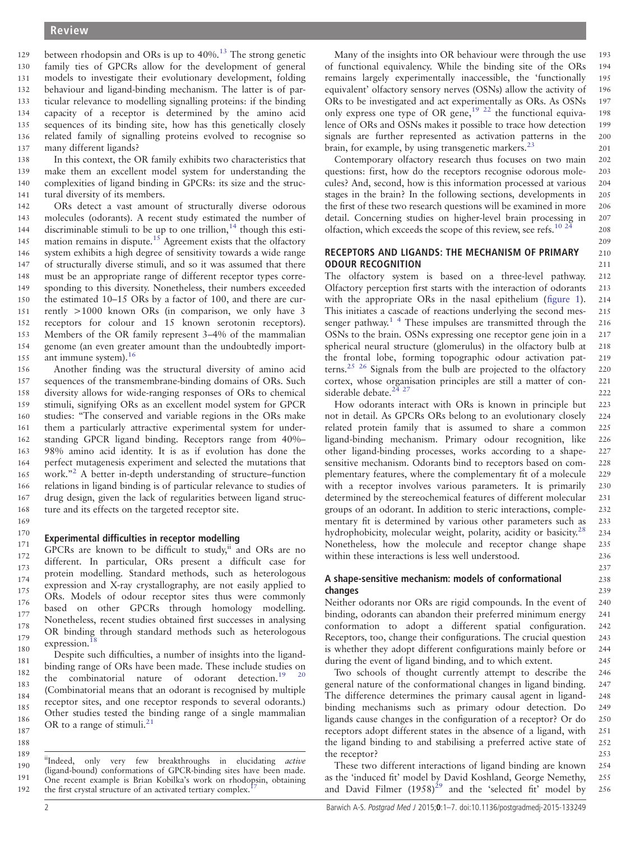between rhodopsin and ORs is up to 40%.[13](#page-5-0) The strong genetic family ties of GPCRs allow for the development of general models to investigate their evolutionary development, folding behaviour and ligand-binding mechanism. The latter is of particular relevance to modelling signalling proteins: if the binding capacity of a receptor is determined by the amino acid sequences of its binding site, how has this genetically closely related family of signalling proteins evolved to recognise so many different ligands? 129 130 131 132 133 134 135 136 137

In this context, the OR family exhibits two characteristics that make them an excellent model system for understanding the complexities of ligand binding in GPCRs: its size and the structural diversity of its members. 138 139 140 141

ORs detect a vast amount of structurally diverse odorous molecules (odorants). A recent study estimated the number of discriminable stimuli to be up to one trillion,<sup>[14](#page-5-0)</sup> though this estimation remains in dispute.<sup>15</sup> Agreement exists that the olfactory system exhibits a high degree of sensitivity towards a wide range of structurally diverse stimuli, and so it was assumed that there must be an appropriate range of different receptor types corresponding to this diversity. Nonetheless, their numbers exceeded the estimated 10–15 ORs by a factor of 100, and there are currently >1000 known ORs (in comparison, we only have 3 receptors for colour and 15 known serotonin receptors). Members of the OR family represent 3–4% of the mammalian genome (an even greater amount than the undoubtedly important immune system).[16](#page-5-0) 142 143 144 145 146 147 148 149 150 151 152 153 154 155

Another finding was the structural diversity of amino acid sequences of the transmembrane-binding domains of ORs. Such diversity allows for wide-ranging responses of ORs to chemical stimuli, signifying ORs as an excellent model system for GPCR studies: "The conserved and variable regions in the ORs make them a particularly attractive experimental system for understanding GPCR ligand binding. Receptors range from 40%– 98% amino acid identity. It is as if evolution has done the perfect mutagenesis experiment and selected the mutations that work."<sup>[2](#page-5-0)</sup> A better in-depth understanding of structure–function relations in ligand binding is of particular relevance to studies of drug design, given the lack of regularities between ligand structure and its effects on the targeted receptor site. 156 157 158 159 160 161 162 163 164 165 166 167 168

### Experimental difficulties in receptor modelling

GPCRs are known to be difficult to study, $\mathbf{\ddot{u}}$  and ORs are no different. In particular, ORs present a difficult case for protein modelling. Standard methods, such as heterologous expression and X-ray crystallography, are not easily applied to ORs. Models of odour receptor sites thus were commonly based on other GPCRs through homology modelling. Nonetheless, recent studies obtained first successes in analysing OR binding through standard methods such as heterologous expression.[18](#page-5-0) 171 172 173 174 175 176 177 178 179 180

Despite such difficulties, a number of insights into the ligandbinding range of ORs have been made. These include studies on the combinatorial nature of odorant detection.<sup>19</sup> <sup>20</sup> (Combinatorial means that an odorant is recognised by multiple receptor sites, and one receptor responds to several odorants.) Other studies tested the binding range of a single mammalian OR to a range of stimuli. $^{21}$  $^{21}$  $^{21}$ 

Many of the insights into OR behaviour were through the use of functional equivalency. While the binding site of the ORs remains largely experimentally inaccessible, the 'functionally equivalent' olfactory sensory nerves (OSNs) allow the activity of ORs to be investigated and act experimentally as ORs. As OSNs only express one type of OR gene,<sup>19 22</sup> the functional equivalence of ORs and OSNs makes it possible to trace how detection signals are further represented as activation patterns in the brain, for example, by using transgenetic markers. $^{23}$  $^{23}$  $^{23}$ 193 194 195 196 197 198 199 200 201

Contemporary olfactory research thus focuses on two main questions: first, how do the receptors recognise odorous molecules? And, second, how is this information processed at various stages in the brain? In the following sections, developments in the first of these two research questions will be examined in more detail. Concerning studies on higher-level brain processing in olfaction, which exceeds the scope of this review, see refs.<sup>10 2</sup> 202 203 204 205 206 207 208

### RECEPTORS AND LIGANDS: THE MECHANISM OF PRIMARY ODOUR RECOGNITION

The olfactory system is based on a three-level pathway. Olfactory perception first starts with the interaction of odorants with the appropriate ORs in the nasal epithelium (fi[gure 1\)](#page-2-0). This initiates a cascade of reactions underlying the second messenger pathway.<sup>1</sup> <sup>4</sup> These impulses are transmitted through the OSNs to the brain. OSNs expressing one receptor gene join in a spherical neural structure (glomerulus) in the olfactory bulb at the frontal lobe, forming topographic odour activation pat-terns.<sup>[25 26](#page-5-0)</sup> Signals from the bulb are projected to the olfactory cortex, whose organisation principles are still a matter of considerable debate.<sup>2</sup> 212 213 214 215 216 217 218 219 220 221  $222$ 

How odorants interact with ORs is known in principle but not in detail. As GPCRs ORs belong to an evolutionary closely related protein family that is assumed to share a common ligand-binding mechanism. Primary odour recognition, like other ligand-binding processes, works according to a shapesensitive mechanism. Odorants bind to receptors based on complementary features, where the complementary fit of a molecule with a receptor involves various parameters. It is primarily determined by the stereochemical features of different molecular groups of an odorant. In addition to steric interactions, complementary fit is determined by various other parameters such as hydrophobicity, molecular weight, polarity, acidity or basicity.<sup>[28](#page-5-0)</sup> Nonetheless, how the molecule and receptor change shape within these interactions is less well understood. 223  $224$  $225$ 226 236 237

### A shape-sensitive mechanism: models of conformational changes

Neither odorants nor ORs are rigid compounds. In the event of binding, odorants can abandon their preferred minimum energy conformation to adopt a different spatial configuration. Receptors, too, change their configurations. The crucial question is whether they adopt different configurations mainly before or during the event of ligand binding, and to which extent.

Two schools of thought currently attempt to describe the general nature of the conformational changes in ligand binding. The difference determines the primary causal agent in ligandbinding mechanisms such as primary odour detection. Do ligands cause changes in the configuration of a receptor? Or do receptors adopt different states in the absence of a ligand, with the ligand binding to and stabilising a preferred active state of the receptor? 246 247 248 249 250 251 252 253

These two different interactions of ligand binding are known as the 'induced fit' model by David Koshland, George Nemethy, and David Filmer  $(1958)^{29}$  $(1958)^{29}$  $(1958)^{29}$  and the 'selected fit' model by 254 255 256

209 210 211

169 170

i<sup>i</sup>Indeed, only very few breakthroughs in elucidating active (ligand-bound) conformations of GPCR-binding sites have been made. One recent example is Brian Kobilka's work on rhodopsin, obtaining the first crystal structure of an activated tertiary complex. 189 190 191 192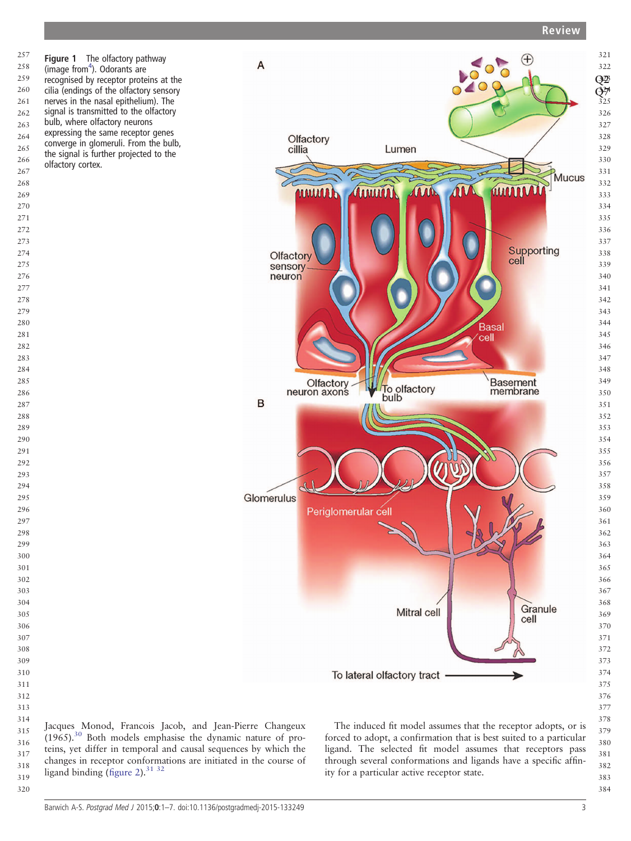$Q7$ 

<span id="page-2-0"></span>

Jacques Monod, Francois Jacob, and Jean-Pierre Changeux (1965)[.30](#page-5-0) Both models emphasise the dynamic nature of proteins, yet differ in temporal and causal sequences by which the changes in receptor conformations are initiated in the course of ligand binding (fi[gure 2](#page-3-0)).<sup>[31 32](#page-5-0)</sup>

olfactory cortex.

forced to adopt, a confirmation that is best suited to a particular ligand. The selected fit model assumes that receptors pass through several conformations and ligands have a specific affinity for a particular active receptor state.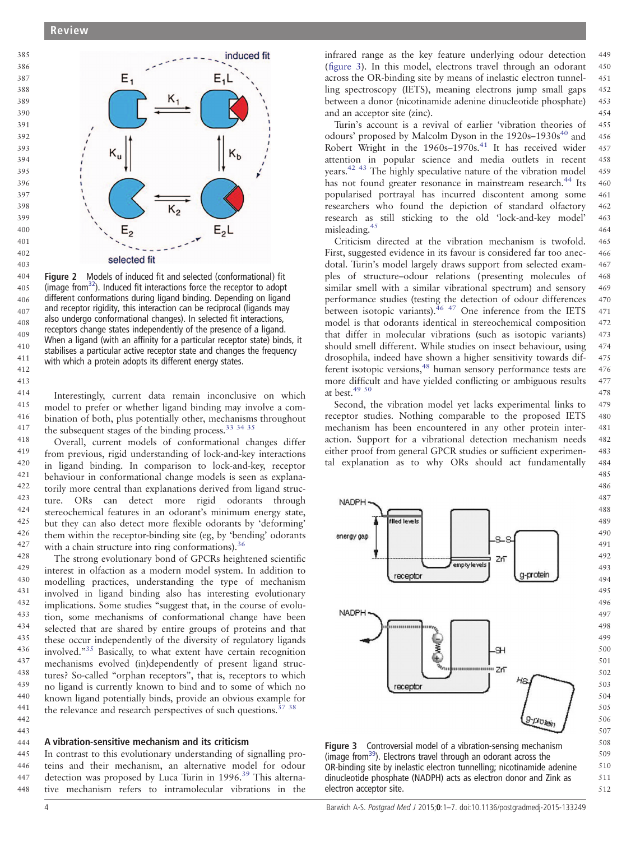<span id="page-3-0"></span>

Figure 2 Models of induced fit and selected (conformational) fit (image from $^{32}$  $^{32}$  $^{32}$ ). Induced fit interactions force the receptor to adopt different conformations during ligand binding. Depending on ligand and receptor rigidity, this interaction can be reciprocal (ligands may also undergo conformational changes). In selected fit interactions, receptors change states independently of the presence of a ligand. When a ligand (with an affinity for a particular receptor state) binds, it stabilises a particular active receptor state and changes the frequency with which a protein adopts its different energy states. 

Interestingly, current data remain inconclusive on which model to prefer or whether ligand binding may involve a combination of both, plus potentially other, mechanisms throughout the subsequent stages of the binding process.<sup>33</sup> <sup>34</sup> <sup>35</sup> 

Overall, current models of conformational changes differ from previous, rigid understanding of lock-and-key interactions in ligand binding. In comparison to lock-and-key, receptor behaviour in conformational change models is seen as explanatorily more central than explanations derived from ligand structure. ORs can detect more rigid odorants through stereochemical features in an odorant's minimum energy state, but they can also detect more flexible odorants by 'deforming' them within the receptor-binding site (eg, by 'bending' odorants with a chain structure into ring conformations).<sup>[36](#page-5-0)</sup> 

The strong evolutionary bond of GPCRs heightened scientific interest in olfaction as a modern model system. In addition to modelling practices, understanding the type of mechanism involved in ligand binding also has interesting evolutionary implications. Some studies "suggest that, in the course of evolution, some mechanisms of conformational change have been selected that are shared by entire groups of proteins and that these occur independently of the diversity of regulatory ligands involved."[35](#page-5-0) Basically, to what extent have certain recognition mechanisms evolved (in)dependently of present ligand structures? So-called "orphan receptors", that is, receptors to which no ligand is currently known to bind and to some of which no known ligand potentially binds, provide an obvious example for the relevance and research perspectives of such questions.<sup>37</sup> <sup>38</sup> 

#### A vibration-sensitive mechanism and its criticism

In contrast to this evolutionary understanding of signalling proteins and their mechanism, an alternative model for odour detection was proposed by Luca Turin in 1996.<sup>39</sup> This alternative mechanism refers to intramolecular vibrations in the 

infrared range as the key feature underlying odour detection (figure 3). In this model, electrons travel through an odorant across the OR-binding site by means of inelastic electron tunnelling spectroscopy (IETS), meaning electrons jump small gaps between a donor (nicotinamide adenine dinucleotide phosphate) and an acceptor site (zinc). 

Turin's account is a revival of earlier 'vibration theories of odours' proposed by Malcolm Dyson in the 1920s–1930s<sup>[40](#page-5-0)</sup> and Robert Wright in the 1960s-1970s.<sup>[41](#page-5-0)</sup> It has received wider attention in popular science and media outlets in recent years.<sup>42</sup> <sup>43</sup> The highly speculative nature of the vibration model has not found greater resonance in mainstream research.<sup>[44](#page-5-0)</sup> Its popularised portrayal has incurred discontent among some researchers who found the depiction of standard olfactory research as still sticking to the old 'lock-and-key model' misleading.[45](#page-5-0) 

Criticism directed at the vibration mechanism is twofold. First, suggested evidence in its favour is considered far too anecdotal. Turin's model largely draws support from selected examples of structure–odour relations (presenting molecules of similar smell with a similar vibrational spectrum) and sensory performance studies (testing the detection of odour differences between isotopic variants). One inference from the IETS model is that odorants identical in stereochemical composition that differ in molecular vibrations (such as isotopic variants) should smell different. While studies on insect behaviour, using drosophila, indeed have shown a higher sensitivity towards different isotopic versions,<sup>48</sup> human sensory performance tests are more difficult and have yielded conflicting or ambiguous results at best. 

Second, the vibration model yet lacks experimental links to receptor studies. Nothing comparable to the proposed IETS mechanism has been encountered in any other protein interaction. Support for a vibrational detection mechanism needs either proof from general GPCR studies or sufficient experimental explanation as to why ORs should act fundamentally



Figure 3 Controversial model of a vibration-sensing mechanism (image from<sup>39</sup>). Electrons travel through an odorant across the OR-binding site by inelastic electron tunnelling; nicotinamide adenine dinucleotide phosphate (NADPH) acts as electron donor and Zink as electron acceptor site.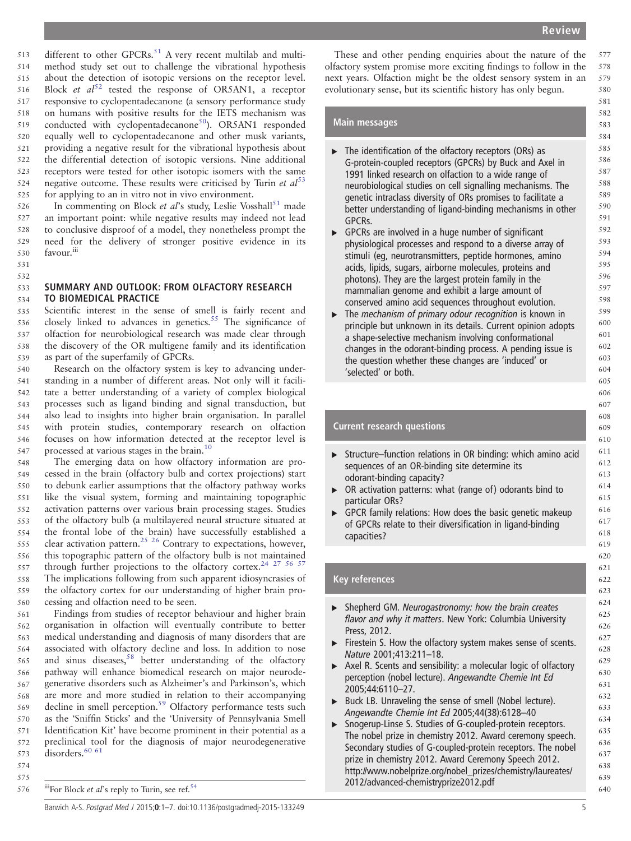different to other GPCRs.<sup>51</sup> A very recent multilab and multimethod study set out to challenge the vibrational hypothesis about the detection of isotopic versions on the receptor level. Block et  $al^{52}$  $al^{52}$  $al^{52}$  tested the response of OR5AN1, a receptor responsive to cyclopentadecanone (a sensory performance study on humans with positive results for the IETS mechanism was conducted with cyclopentadecanone<sup>[50](#page-6-0)</sup>). OR5AN1 responded equally well to cyclopentadecanone and other musk variants, providing a negative result for the vibrational hypothesis about the differential detection of isotopic versions. Nine additional receptors were tested for other isotopic isomers with the same negative outcome. These results were criticised by Turin et  $al^{53}$  $al^{53}$  $al^{53}$ for applying to an in vitro not in vivo environment. 513 514 515 516 517 518 519 520 521 522 523 524 525

In commenting on Block et al's study, Leslie Vosshall<sup>[51](#page-6-0)</sup> made an important point: while negative results may indeed not lead to conclusive disproof of a model, they nonetheless prompt the need for the delivery of stronger positive evidence in its favour.<sup>ii</sup> 526 527 528 529 530

531 532

#### SUMMARY AND OUTLOOK: FROM OLFACTORY RESEARCH TO BIOMEDICAL PRACTICE 533 534

Scientific interest in the sense of smell is fairly recent and closely linked to advances in genetics.<sup>[55](#page-6-0)</sup> The significance of olfaction for neurobiological research was made clear through the discovery of the OR multigene family and its identification as part of the superfamily of GPCRs. 535 536 537 538 539

Research on the olfactory system is key to advancing understanding in a number of different areas. Not only will it facilitate a better understanding of a variety of complex biological processes such as ligand binding and signal transduction, but also lead to insights into higher brain organisation. In parallel with protein studies, contemporary research on olfaction focuses on how information detected at the receptor level is processed at various stages in the brain.[10](#page-5-0) 540 541 542 543 544 545 546 547

The emerging data on how olfactory information are processed in the brain (olfactory bulb and cortex projections) start to debunk earlier assumptions that the olfactory pathway works like the visual system, forming and maintaining topographic activation patterns over various brain processing stages. Studies of the olfactory bulb (a multilayered neural structure situated at the frontal lobe of the brain) have successfully established a clear activation pattern.<sup>25</sup> <sup>26</sup> Contrary to expectations, however, this topographic pattern of the olfactory bulb is not maintained through further projections to the olfactory cortex.<sup>24</sup> <sup>27</sup> <sup>56</sup> <sup>57</sup> The implications following from such apparent idiosyncrasies of the olfactory cortex for our understanding of higher brain processing and olfaction need to be seen. 548 549 550 551 552 553 554 555 556 557 558 559 560

Findings from studies of receptor behaviour and higher brain organisation in olfaction will eventually contribute to better medical understanding and diagnosis of many disorders that are associated with olfactory decline and loss. In addition to nose and sinus diseases,  $58$  better understanding of the olfactory pathway will enhance biomedical research on major neurodegenerative disorders such as Alzheimer's and Parkinson's, which are more and more studied in relation to their accompanying decline in smell perception.<sup>[59](#page-6-0)</sup> Olfactory performance tests such as the 'Sniffin Sticks' and the 'University of Pennsylvania Smell Identification Kit' have become prominent in their potential as a preclinical tool for the diagnosis of major neurodegenerative disorders.<sup>60 61</sup> 561 562 563 564 565 566 567 568 569 570 571 572 573

These and other pending enquiries about the nature of the olfactory system promise more exciting findings to follow in the next years. Olfaction might be the oldest sensory system in an evolutionary sense, but its scientific history has only begun. 577 578 579 580 581

#### Main messages

- ▸ The identification of the olfactory receptors (ORs) as G-protein-coupled receptors (GPCRs) by Buck and Axel in 1991 linked research on olfaction to a wide range of neurobiological studies on cell signalling mechanisms. The genetic intraclass diversity of ORs promises to facilitate a better understanding of ligand-binding mechanisms in other GPCRs.
- $\triangleright$  GPCRs are involved in a huge number of significant physiological processes and respond to a diverse array of stimuli (eg, neurotransmitters, peptide hormones, amino acids, lipids, sugars, airborne molecules, proteins and photons). They are the largest protein family in the mammalian genome and exhibit a large amount of conserved amino acid sequences throughout evolution.
- ▶ The mechanism of primary odour recognition is known in principle but unknown in its details. Current opinion adopts a shape-selective mechanism involving conformational changes in the odorant-binding process. A pending issue is the question whether these changes are 'induced' or 'selected' or both.

### Current research questions

- ▶ Structure–function relations in OR binding: which amino acid sequences of an OR-binding site determine its odorant-binding capacity?
- ▸ OR activation patterns: what (range of) odorants bind to particular ORs?
- $\triangleright$  GPCR family relations: How does the basic genetic makeup of GPCRs relate to their diversification in ligand-binding capacities?

#### Key references

- ▸ Shepherd GM. Neurogastronomy: how the brain creates flavor and why it matters. New York: Columbia University Press, 2012.
- ▸ Firestein S. How the olfactory system makes sense of scents. Nature 2001;413:211–18.
- ▶ Axel R. Scents and sensibility: a molecular logic of olfactory perception (nobel lecture). Angewandte Chemie Int Ed 2005;44:6110–27.
- Buck LB. Unraveling the sense of smell (Nobel lecture). Angewandte Chemie Int Ed 2005;44(38):6128–40
- ▶ Snogerup-Linse S. Studies of G-coupled-protein receptors. The nobel prize in chemistry 2012. Award ceremony speech. Secondary studies of G-coupled-protein receptors. The nobel prize in chemistry 2012. Award Ceremony Speech 2012. [http://www.nobelprize.org/nobel\\_prizes/chemistry/laureates/](http://www.nobelprize.org/nobel_prizes/chemistry/laureates/2012/advanced-chemistryprize2012.pdf)  $\frac{1}{2012}/2012$  advanced-chemistryprize2012.pdf [2012/advanced-chemistryprize2012.pdf](http://www.nobelprize.org/nobel_prizes/chemistry/laureates/2012/advanced-chemistryprize2012.pdf)

574 575 576

Barwich A-S. Postgrad Med J 2015;0:1-7. doi:10.1136/postgradmedj-2015-133249 5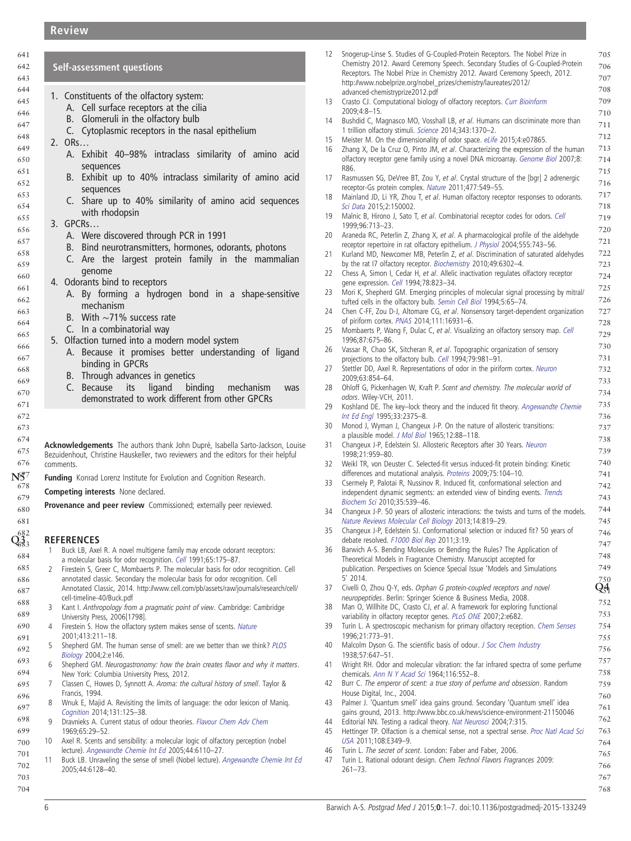### Review

<span id="page-5-0"></span>

|                | <b>Self-assessment questions</b>                                                                                                                                                  |
|----------------|-----------------------------------------------------------------------------------------------------------------------------------------------------------------------------------|
|                |                                                                                                                                                                                   |
|                | 1. Constituents of the olfactory system:                                                                                                                                          |
|                | Cell surface receptors at the cilia<br>А.                                                                                                                                         |
|                | Glomeruli in the olfactory bulb<br>B.                                                                                                                                             |
|                | Cytoplasmic receptors in the nasal epithelium<br>C.                                                                                                                               |
|                | $2.$ ORs                                                                                                                                                                          |
|                | A. Exhibit 40-98% intraclass similarity of amino acid                                                                                                                             |
|                | sequences<br>Exhibit up to 40% intraclass similarity of amino acid<br>В.                                                                                                          |
|                | sequences                                                                                                                                                                         |
|                | Share up to 40% similarity of amino acid sequences<br>C.                                                                                                                          |
|                | with rhodopsin                                                                                                                                                                    |
|                | 3. GPCRs                                                                                                                                                                          |
|                | A. Were discovered through PCR in 1991                                                                                                                                            |
|                | Bind neurotransmitters, hormones, odorants, photons<br>В.                                                                                                                         |
|                | C. Are the largest protein family in the mammalian<br>qenome                                                                                                                      |
|                | 4. Odorants bind to receptors                                                                                                                                                     |
|                | By forming a hydrogen bond in a shape-sensitive<br>А.                                                                                                                             |
|                | mechanism                                                                                                                                                                         |
|                | B. With $\sim$ 71% success rate                                                                                                                                                   |
|                | C. In a combinatorial way                                                                                                                                                         |
|                | 5. Olfaction turned into a modern model system                                                                                                                                    |
|                | Because it promises better understanding of ligand<br>А.<br>binding in GPCRs                                                                                                      |
|                | Through advances in genetics<br>В.                                                                                                                                                |
|                | Because its ligand binding mechanism<br>C.<br>was                                                                                                                                 |
|                | demonstrated to work different from other GPCRs                                                                                                                                   |
|                |                                                                                                                                                                                   |
|                |                                                                                                                                                                                   |
|                |                                                                                                                                                                                   |
|                | Acknowledgements The authors thank John Dupré, Isabella Sarto-Jackson, Louise<br>Bezuidenhout, Christine Hauskeller, two reviewers and the editors for their helpful<br>comments. |
|                | Funding Konrad Lorenz Institute for Evolution and Cognition Research.                                                                                                             |
|                | Competing interests None declared.                                                                                                                                                |
|                | Provenance and peer review Commissioned; externally peer reviewed.                                                                                                                |
|                |                                                                                                                                                                                   |
|                |                                                                                                                                                                                   |
|                | <b>REFERENCES</b>                                                                                                                                                                 |
| 1              | Buck LB, Axel R. A novel multigene family may encode odorant receptors:<br>a molecular basis for odor recognition. Cell 1991;65:175-87.                                           |
| $\overline{2}$ | Firestein S, Greer C, Mombaerts P. The molecular basis for odor recognition. Cell                                                                                                 |
|                | annotated classic. Secondary the molecular basis for odor recognition. Cell                                                                                                       |
|                | Annotated Classic, 2014. http://www.cell.com/pb/assets/raw/journals/research/cell/<br>cell-timeline-40/Buck.pdf                                                                   |
| 3              | Kant I. Anthropology from a pragmatic point of view. Cambridge: Cambridge                                                                                                         |
|                | University Press, 2006[1798].                                                                                                                                                     |
| 4              | Firestein S. How the olfactory system makes sense of scents. Nature<br>2001;413:211-18.                                                                                           |
| 5              | Shepherd GM. The human sense of smell: are we better than we think? PLOS                                                                                                          |
| 6              | Biology 2004;2:e146.<br>Shepherd GM. Neurogastronomy: how the brain creates flavor and why it matters.                                                                            |
|                |                                                                                                                                                                                   |

- New York: Columbia University Press, 2012. 7 Classen C, Howes D, Synnott A. Aroma: the cultural history of smell. Taylor & Francis, 1994. 694 695
- 8 Wnuk E, Majid A. Revisiting the limits of language: the odor lexicon of Maniq. Cognition 2014;131:125–38. 696 697
- 9 Dravnieks A. Current status of odour theories. Flavour Chem Adv Chem 1969;65:29–52. 698 699
- 10 Axel R. Scents and sensibility: a molecular logic of olfactory perception (nobel lecture). Angewandte Chemie Int Ed 2005;44:6110–27. 700 701
- 11 Buck LB. Unraveling the sense of smell (Nobel lecture). Angewandte Chemie Int Ed 2005;44:6128–40. 702 703

| 12       | Snogerup-Linse S. Studies of G-Coupled-Protein Receptors. The Nobel Prize in<br>Chemistry 2012. Award Ceremony Speech. Secondary Studies of G-Coupled-Protein<br>Receptors. The Nobel Prize in Chemistry 2012. Award Ceremony Speech, 2012. | 705<br>706 |
|----------|---------------------------------------------------------------------------------------------------------------------------------------------------------------------------------------------------------------------------------------------|------------|
|          | http://www.nobelprize.org/nobel_prizes/chemistry/laureates/2012/                                                                                                                                                                            | 707<br>708 |
| 13       | advanced-chemistryprize2012.pdf<br>Crasto CJ. Computational biology of olfactory receptors. Curr Bioinform                                                                                                                                  | 709        |
| 14       | 2009:4:8-15.<br>Bushdid C, Magnasco MO, Vosshall LB, et al. Humans can discriminate more than                                                                                                                                               | 710        |
|          | 1 trillion olfactory stimuli. Science 2014;343:1370-2.                                                                                                                                                                                      | 711        |
| 15       | Meister M. On the dimensionality of odor space. <i>eLife</i> 2015;4:e07865.                                                                                                                                                                 | 712<br>713 |
| 16       | Zhang X, De la Cruz O, Pinto JM, et al. Characterizing the expression of the human<br>olfactory receptor gene family using a novel DNA microarray. Genome Biol 2007;8:<br>R86.                                                              | 714        |
| 17       | Rasmussen SG, DeVree BT, Zou Y, et al. Crystal structure of the [bqr] 2 adrenergic                                                                                                                                                          | 715<br>716 |
| 18       | receptor-Gs protein complex. Nature 2011;477:549-55.<br>Mainland JD, Li YR, Zhou T, et al. Human olfactory receptor responses to odorants.<br>Sci Data 2015;2:150002.                                                                       | 717<br>718 |
| 19       | Malnic B, Hirono J, Sato T, et al. Combinatorial receptor codes for odors. Cell<br>1999;96:713-23.                                                                                                                                          | 719        |
| 20       | Araneda RC, Peterlin Z, Zhang X, et al. A pharmacological profile of the aldehyde<br>receptor repertoire in rat olfactory epithelium. J Physiol 2004;555:743-56.                                                                            | 720<br>721 |
| 21       | Kurland MD, Newcomer MB, Peterlin Z, et al. Discrimination of saturated aldehydes<br>by the rat I7 olfactory receptor. Biochemistry 2010;49:6302-4.                                                                                         | 722        |
| 22       | Chess A, Simon I, Cedar H, et al. Allelic inactivation regulates olfactory receptor                                                                                                                                                         | 723<br>724 |
| 23       | gene expression. Cell 1994;78:823-34.<br>Mori K, Shepherd GM. Emerging principles of molecular signal processing by mitral/                                                                                                                 | 725        |
| 24       | tufted cells in the olfactory bulb. Semin Cell Biol 1994;5:65-74.<br>Chen C-FF, Zou D-J, Altomare CG, et al. Nonsensory target-dependent organization                                                                                       | 726<br>727 |
| 25       | of piriform cortex. PNAS 2014;111:16931-6.<br>Mombaerts P, Wang F, Dulac C, et al. Visualizing an olfactory sensory map. Cell                                                                                                               | 728        |
|          | 1996;87:675-86.<br>Vassar R, Chao SK, Sitcheran R, et al. Topographic organization of sensory                                                                                                                                               | 729<br>730 |
| 26       | projections to the olfactory bulb. Cell 1994;79:981-91.                                                                                                                                                                                     | 731        |
| 27       | Stettler DD, Axel R. Representations of odor in the piriform cortex. Neuron<br>2009;63:854-64.                                                                                                                                              | 732<br>733 |
| 28       | Ohloff G, Pickenhagen W, Kraft P. Scent and chemistry. The molecular world of<br>odors. Wiley-VCH, 2011.                                                                                                                                    | 734        |
| 29       | Koshland DE. The key-lock theory and the induced fit theory. Angewandte Chemie<br>Int Ed Engl 1995;33:2375-8.                                                                                                                               | 735<br>736 |
| 30       | Monod J, Wyman J, Changeux J-P. On the nature of allosteric transitions:                                                                                                                                                                    | 737        |
| 31       | a plausible model. J Mol Biol 1965;12:88-118.<br>Changeux J-P, Edelstein SJ. Allosteric Receptors after 30 Years. Neuron                                                                                                                    | 738<br>739 |
| 32       | 1998;21:959-80.<br>Weikl TR, von Deuster C. Selected-fit versus induced-fit protein binding: Kinetic                                                                                                                                        | 740        |
| 33       | differences and mutational analysis. Proteins 2009;75:104-10.<br>Csermely P, Palotai R, Nussinov R. Induced fit, conformational selection and                                                                                               | 741        |
|          | independent dynamic segments: an extended view of binding events. Trends                                                                                                                                                                    | 742<br>743 |
| 34       | Biochem Sci 2010;35:539-46.<br>Changeux J-P. 50 years of allosteric interactions: the twists and turns of the models.                                                                                                                       | 744        |
| 35       | Nature Reviews Molecular Cell Biology 2013;14:819-29.<br>Changeux J-P, Edelstein SJ. Conformational selection or induced fit? 50 years of                                                                                                   | 745<br>746 |
|          | debate resolved. F1000 Biol Rep 2011;3:19.                                                                                                                                                                                                  | 747        |
| 36       | Barwich A-S. Bending Molecules or Bending the Rules? The Application of<br>Theoretical Models in Fragrance Chemistry. Manuscipt accepted for                                                                                                | 748        |
|          | publication. Perspectives on Science Special Issue 'Models and Simulations                                                                                                                                                                  | 749        |
| 37       | 5' 2014.<br>Civelli O, Zhou Q-Y, eds. Orphan G protein-coupled receptors and novel                                                                                                                                                          | 750<br>QĄ  |
| 38       | neuropeptides. Berlin: Springer Science & Business Media, 2008.<br>Man O, Willhite DC, Crasto CJ, et al. A framework for exploring functional                                                                                               | 752        |
| 39       | variability in olfactory receptor genes. PLoS ONE 2007;2:e682.<br>Turin L. A spectroscopic mechanism for primary olfactory reception. Chem Senses                                                                                           | 753<br>754 |
|          | 1996;21:773-91.                                                                                                                                                                                                                             | 755        |
| 40       | Malcolm Dyson G. The scientific basis of odour. J Soc Chem Industry<br>1938;57:647-51.                                                                                                                                                      | 756<br>757 |
| 41       | Wright RH. Odor and molecular vibration: the far infrared spectra of some perfume<br>chemicals. Ann N Y Acad Sci 1964;116:552-8.                                                                                                            | 758        |
| 42       | Burr C. The emperor of scent: a true story of perfume and obsession. Random<br>House Digital, Inc., 2004.                                                                                                                                   | 759        |
| 43       | Palmer J. 'Quantum smell' idea gains ground. Secondary 'Quantum smell' idea                                                                                                                                                                 | 760<br>761 |
| 44       | gains ground, 2013. http://www.bbc.co.uk/news/science-environment-21150046<br>Editorial NN. Testing a radical theory. Nat Neurosci 2004;7:315.                                                                                              | 762        |
| 45       | Hettinger TP. Olfaction is a chemical sense, not a spectral sense. Proc Natl Acad Sci                                                                                                                                                       | 763        |
|          | USA 2011;108:E349-9.                                                                                                                                                                                                                        | 764        |
| 46<br>47 | Turin L. The secret of scent. London: Faber and Faber, 2006.<br>Turin L. Rational odorant design. Chem Technol Flavors Fragrances 2009:                                                                                                     | 765        |
|          |                                                                                                                                                                                                                                             | 766        |

6 Barwich A-S. Postgrad Med J 2015;0:1–7. doi:10.1136/postgradmedj-2015-133249

767 768

261–73.